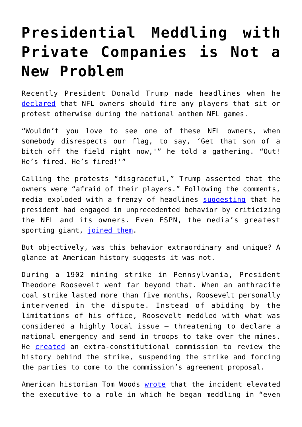## **[Presidential Meddling with](https://intellectualtakeout.org/2017/11/presidential-meddling-with-private-companies-is-not-a-new-problem/) [Private Companies is Not a](https://intellectualtakeout.org/2017/11/presidential-meddling-with-private-companies-is-not-a-new-problem/) [New Problem](https://intellectualtakeout.org/2017/11/presidential-meddling-with-private-companies-is-not-a-new-problem/)**

Recently President Donald Trump made headlines when he [declared](https://www.washingtonpost.com/news/post-politics/wp/2017/09/28/trump-says-nfl-owners-afraid-of-their-players-calls-it-disgraceful/?utm_term=.80a85a5fb303) that NFL owners should fire any players that sit or protest otherwise during the national anthem NFL games.

"Wouldn't you love to see one of these NFL owners, when somebody disrespects our flag, to say, 'Get that son of a bitch off the field right now,'" he told a gathering. "Out! He's fired. He's fired!'"

Calling the protests "disgraceful," Trump asserted that the owners were "afraid of their players." Following the comments, media exploded with a frenzy of headlines [suggesting](http://www.nationalreview.com/article/451724/trumps-nfl-rant-doesnt-help-country-or-sport-football) that he president had engaged in unprecedented behavior by criticizing the NFL and its owners. Even ESPN, the media's greatest sporting giant, [joined them.](http://www.espn.com/espn/otl/story/_/id/20865444/inside-story-happened-players-took-control-nfl-national-anthem)

But objectively, was this behavior extraordinary and unique? A glance at American history suggests it was not.

During a 1902 mining strike in Pennsylvania, President Theodore Roosevelt went far beyond that. When an anthracite coal strike lasted more than five months, Roosevelt personally intervened in the dispute. Instead of abiding by the limitations of his office, Roosevelt meddled with what was considered a highly local issue – threatening to declare a national emergency and send in troops to take over the mines. He [created](https://www.politico.com/story/2011/10/teddy-roosevelt-intervenes-in-pennsylvania-labor-dispute-oct-3-1902-064837) an extra-constitutional commission to review the history behind the strike, suspending the strike and forcing the parties to come to the commission's agreement proposal.

American historian Tom Woods [wrote](https://mises.org/library/theodore-roosevelt-and-modern-presidency) that the incident elevated the executive to a role in which he began meddling in "even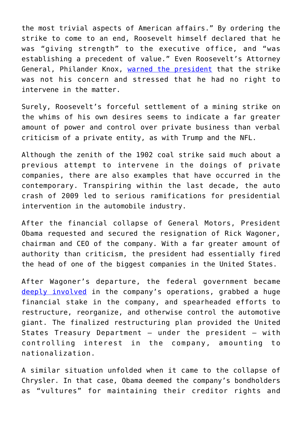the most trivial aspects of American affairs." By ordering the strike to come to an end, Roosevelt himself declared that he was "giving strength" to the executive office, and "was establishing a precedent of value." Even Roosevelt's Attorney General, Philander Knox, [warned the president](https://www.dol.gov/general/aboutdol/history/coalstrike) that the strike was not his concern and stressed that he had no right to intervene in the matter.

Surely, Roosevelt's forceful settlement of a mining strike on the whims of his own desires seems to indicate a far greater amount of power and control over private business than verbal criticism of a private entity, as with Trump and the NFL.

Although the zenith of the 1902 coal strike said much about a previous attempt to intervene in the doings of private companies, there are also examples that have occurred in the contemporary. Transpiring within the last decade, the auto crash of 2009 led to serious ramifications for presidential intervention in the automobile industry.

After the financial collapse of General Motors, President Obama requested and secured the resignation of Rick Wagoner, chairman and CEO of the company. With a far greater amount of authority than criticism, the president had essentially fired the head of one of the biggest companies in the United States.

After Wagoner's departure, the federal government became [deeply involved](https://mises.org/library/obama-government-motors-lets-rollhttps:/mises.org/library/obama-government-motors-lets-roll) in the company's operations, grabbed a huge financial stake in the company, and spearheaded efforts to restructure, reorganize, and otherwise control the automotive giant. The finalized restructuring plan provided the United States Treasury Department – under the president – with controlling interest in the company, amounting to nationalization.

A similar situation unfolded when it came to the collapse of Chrysler. In that case, Obama deemed the company's bondholders as "vultures" for maintaining their creditor rights and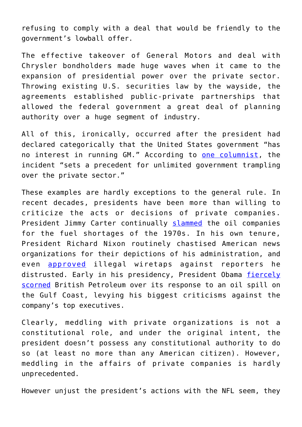refusing to comply with a deal that would be friendly to the government's lowball offer.

The effective takeover of General Motors and deal with Chrysler bondholders made huge waves when it came to the expansion of presidential power over the private sector. Throwing existing U.S. securities law by the wayside, the agreements established public-private partnerships that allowed the federal government a great deal of planning authority over a huge segment of industry.

All of this, ironically, occurred after the president had declared categorically that the United States government "has no interest in running GM." According to [one columnist,](https://mises.org/library/obama-government-motors-lets-rollhttps:/mises.org/library/obama-government-motors-lets-roll) the incident "sets a precedent for unlimited government trampling over the private sector."

These examples are hardly exceptions to the general rule. In recent decades, presidents have been more than willing to criticize the acts or decisions of private companies. President Jimmy Carter continually [slammed](https://mises.org/library/rethinking-carter) the oil companies for the fuel shortages of the 1970s. In his own tenure, President Richard Nixon routinely chastised American news organizations for their depictions of his administration, and even [approved](https://www.theatlantic.com/politics/archive/2014/08/nixons-revenge-his-media-strategy-triumphs-40-years-after-resignation/375274/) illegal wiretaps against reporters he distrusted. Early in his presidency, President Obama [fiercely](https://www.cbsnews.com/news/obama-slams-bp-transocean-halliburton-over-gulf-oil-spill/) [scorned](https://www.cbsnews.com/news/obama-slams-bp-transocean-halliburton-over-gulf-oil-spill/) British Petroleum over its response to an oil spill on the Gulf Coast, levying his biggest criticisms against the company's top executives.

Clearly, meddling with private organizations is not a constitutional role, and under the original intent, the president doesn't possess any constitutional authority to do so (at least no more than any American citizen). However, meddling in the affairs of private companies is hardly unprecedented.

However unjust the president's actions with the NFL seem, they